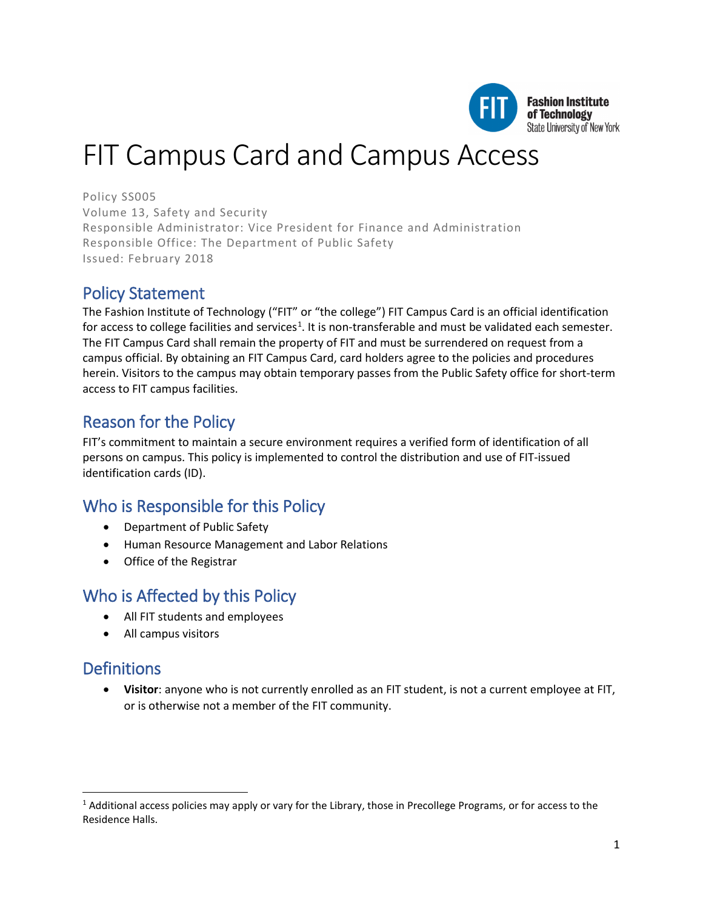

# FIT Campus Card and Campus Access

Policy SS005 Volume 13, Safety and Security Responsible Administrator: Vice President for Finance and Administration Responsible Office: The Department of Public Safety Issued: February 2018

### Policy Statement

The Fashion Institute of Technology ("FIT" or "the college") FIT Campus Card is an official identification for access to college facilities and services<sup>[1](#page-0-0)</sup>. It is non-transferable and must be validated each semester. The FIT Campus Card shall remain the property of FIT and must be surrendered on request from a campus official. By obtaining an FIT Campus Card, card holders agree to the policies and procedures herein. Visitors to the campus may obtain temporary passes from the Public Safety office for short-term access to FIT campus facilities.

# Reason for the Policy

FIT's commitment to maintain a secure environment requires a verified form of identification of all persons on campus. This policy is implemented to control the distribution and use of FIT-issued identification cards (ID).

# Who is Responsible for this Policy

- Department of Public Safety
- Human Resource Management and Labor Relations
- Office of the Registrar

### Who is Affected by this Policy

- All FIT students and employees
- All campus visitors

# **Definitions**

l

• **Visitor**: anyone who is not currently enrolled as an FIT student, is not a current employee at FIT, or is otherwise not a member of the FIT community.

<span id="page-0-0"></span> $1$  Additional access policies may apply or vary for the Library, those in Precollege Programs, or for access to the Residence Halls.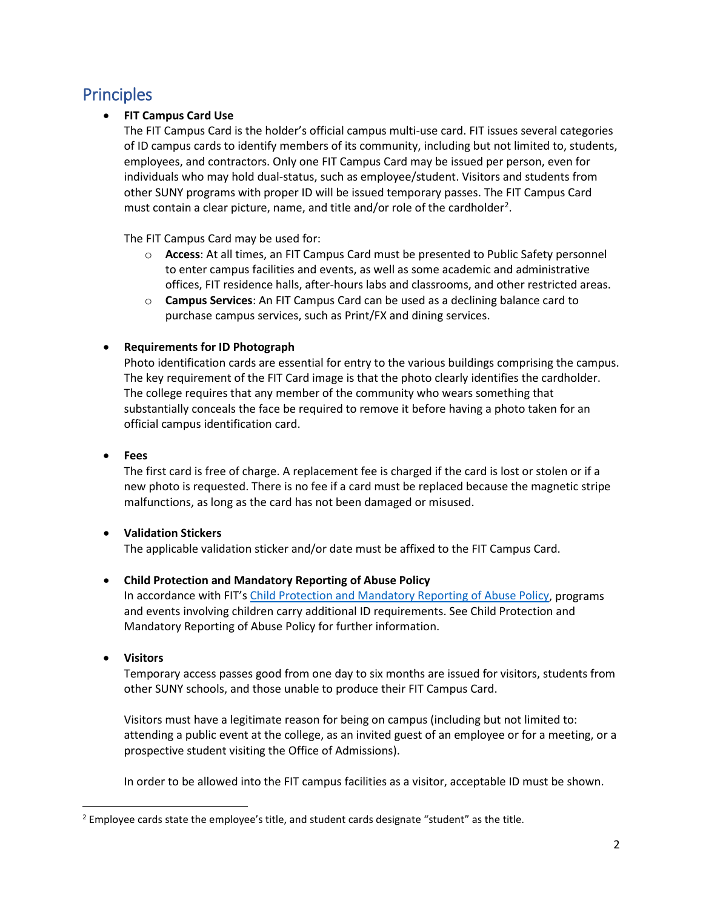# **Principles**

#### • **FIT Campus Card Use**

The FIT Campus Card is the holder's official campus multi-use card. FIT issues several categories of ID campus cards to identify members of its community, including but not limited to, students, employees, and contractors. Only one FIT Campus Card may be issued per person, even for individuals who may hold dual-status, such as employee/student. Visitors and students from other SUNY programs with proper ID will be issued temporary passes. The FIT Campus Card must contain a clear picture, name, and title and/or role of the cardholder<sup>[2](#page-1-0)</sup>.

The FIT Campus Card may be used for:

- o **Access**: At all times, an FIT Campus Card must be presented to Public Safety personnel to enter campus facilities and events, as well as some academic and administrative offices, FIT residence halls, after-hours labs and classrooms, and other restricted areas.
- o **Campus Services**: An FIT Campus Card can be used as a declining balance card to purchase campus services, such as Print/FX and dining services.

#### • **Requirements for ID Photograph**

Photo identification cards are essential for entry to the various buildings comprising the campus. The key requirement of the FIT Card image is that the photo clearly identifies the cardholder. The college requires that any member of the community who wears something that substantially conceals the face be required to remove it before having a photo taken for an official campus identification card.

#### • **Fees**

The first card is free of charge. A replacement fee is charged if the card is lost or stolen or if a new photo is requested. There is no fee if a card must be replaced because the magnetic stripe malfunctions, as long as the card has not been damaged or misused.

#### • **Validation Stickers**

The applicable validation sticker and/or date must be affixed to the FIT Campus Card.

#### • **Child Protection and Mandatory Reporting of Abuse Policy**

In accordance with FIT'[s Child Protection and Mandatory Reporting of Abuse Policy,](https://www.fitnyc.edu/policies/college/child-protection-abuse.php) programs and events involving children carry additional ID requirements. See Child Protection and Mandatory Reporting of Abuse Policy for further information.

#### • **Visitors**

Temporary access passes good from one day to six months are issued for visitors, students from other SUNY schools, and those unable to produce their FIT Campus Card.

Visitors must have a legitimate reason for being on campus (including but not limited to: attending a public event at the college, as an invited guest of an employee or for a meeting, or a prospective student visiting the Office of Admissions).

In order to be allowed into the FIT campus facilities as a visitor, acceptable ID must be shown.

<span id="page-1-0"></span><sup>&</sup>lt;sup>2</sup> Employee cards state the employee's title, and student cards designate "student" as the title.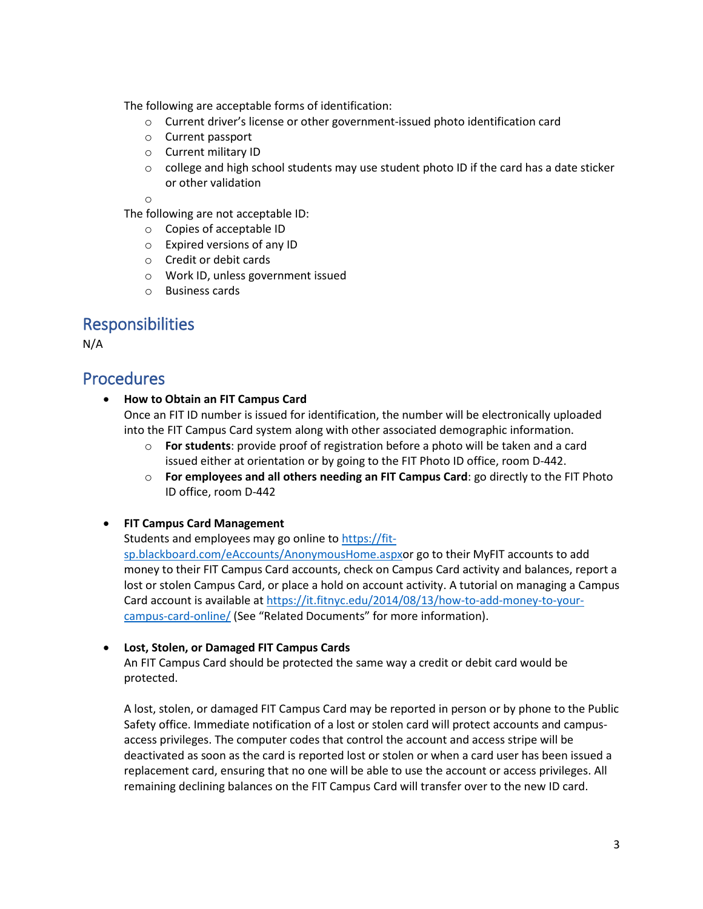The following are acceptable forms of identification:

- o Current driver's license or other government-issued photo identification card
- o Current passport
- o Current military ID
- $\circ$  college and high school students may use student photo ID if the card has a date sticker or other validation

o

The following are not acceptable ID:

- o Copies of acceptable ID
- o Expired versions of any ID
- o Credit or debit cards
- o Work ID, unless government issued
- o Business cards

### Responsibilities

N/A

### Procedures

• **How to Obtain an FIT Campus Card**

Once an FIT ID number is issued for identification, the number will be electronically uploaded into the FIT Campus Card system along with other associated demographic information.

- o **For students**: provide proof of registration before a photo will be taken and a card issued either at orientation or by going to the FIT Photo ID office, room D-442.
- o **For employees and all others needing an FIT Campus Card**: go directly to the FIT Photo ID office, room D-442
- **FIT Campus Card Management**

Students and employees may go online t[o https://fit-](https://fit-sp.blackboard.com/eAccounts/AnonymousHome.aspx)

[sp.blackboard.com/eAccounts/AnonymousHome.aspxo](https://fit-sp.blackboard.com/eAccounts/AnonymousHome.aspx)r go to their MyFIT accounts to add money to their FIT Campus Card accounts, check on Campus Card activity and balances, report a lost or stolen Campus Card, or place a hold on account activity. A tutorial on managing a Campus Card account is available at [https://it.fitnyc.edu/2014/08/13/how-to-add-money-to-your](https://it.fitnyc.edu/2014/08/13/how-to-add-money-to-your-campus-card-online/)[campus-card-online/](https://it.fitnyc.edu/2014/08/13/how-to-add-money-to-your-campus-card-online/) (See "Related Documents" for more information).

#### • **Lost, Stolen, or Damaged FIT Campus Cards**

An FIT Campus Card should be protected the same way a credit or debit card would be protected.

A lost, stolen, or damaged FIT Campus Card may be reported in person or by phone to the Public Safety office. Immediate notification of a lost or stolen card will protect accounts and campusaccess privileges. The computer codes that control the account and access stripe will be deactivated as soon as the card is reported lost or stolen or when a card user has been issued a replacement card, ensuring that no one will be able to use the account or access privileges. All remaining declining balances on the FIT Campus Card will transfer over to the new ID card.